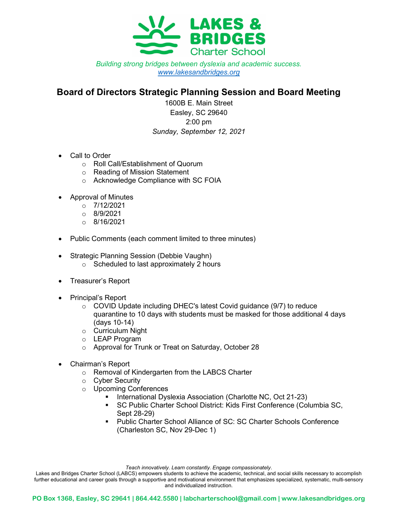

Building strong bridges between dyslexia and academic success. www.lakesandbridges.org

## Board of Directors Strategic Planning Session and Board Meeting

1600B E. Main Street Easley, SC 29640 2:00 pm Sunday, September 12, 2021

- Call to Order
	- o Roll Call/Establishment of Quorum
	- o Reading of Mission Statement
	- o Acknowledge Compliance with SC FOIA
- Approval of Minutes
	- $o$  7/12/2021
	- $\circ$  8/9/2021
	- $O = 8/16/2021$
- Public Comments (each comment limited to three minutes)
- Strategic Planning Session (Debbie Vaughn)
	- $\circ$  Scheduled to last approximately 2 hours
- Treasurer's Report
- Principal's Report
	- $\circ$  COVID Update including DHEC's latest Covid guidance (9/7) to reduce quarantine to 10 days with students must be masked for those additional 4 days (days 10-14)
	- o Curriculum Night
	- o LEAP Program
	- o Approval for Trunk or Treat on Saturday, October 28
- Chairman's Report
	- o Removal of Kindergarten from the LABCS Charter
	- o Cyber Security
	- o Upcoming Conferences
		- International Dyslexia Association (Charlotte NC, Oct 21-23)
		- SC Public Charter School District: Kids First Conference (Columbia SC, Sept 28-29)
		- Public Charter School Alliance of SC: SC Charter Schools Conference (Charleston SC, Nov 29-Dec 1)

Teach innovatively. Learn constantly. Engage compassionately.

Lakes and Bridges Charter School (LABCS) empowers students to achieve the academic, technical, and social skills necessary to accomplish further educational and career goals through a supportive and motivational environment that emphasizes specialized, systematic, multi-sensory and individualized instruction.